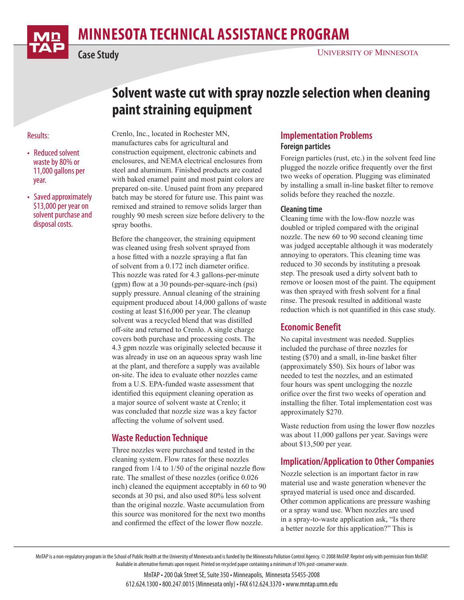

# **minnesota Technical Assistance Program**

**Case Study**

## **Solvent waste cut with spray nozzle selection when cleaning paint straining equipment**

#### Results:

- Reduced solvent waste by 80% or 11,000 gallons per year.
- Saved approximately \$13,000 per year on solvent purchase and disposal costs.

Crenlo, Inc., located in Rochester MN, manufactures cabs for agricultural and construction equipment, electronic cabinets and enclosures, and NEMA electrical enclosures from steel and aluminum. Finished products are coated with baked enamel paint and most paint colors are prepared on-site. Unused paint from any prepared batch may be stored for future use. This paint was remixed and strained to remove solids larger than roughly 90 mesh screen size before delivery to the spray booths.

Before the changeover, the straining equipment was cleaned using fresh solvent sprayed from a hose fitted with a nozzle spraying a flat fan of solvent from a 0.172 inch diameter orifice. This nozzle was rated for 4.3 gallons-per-minute (gpm) flow at a 30 pounds-per-square-inch (psi) supply pressure. Annual cleaning of the straining equipment produced about 14,000 gallons of waste costing at least \$16,000 per year. The cleanup solvent was a recycled blend that was distilled off-site and returned to Crenlo. A single charge covers both purchase and processing costs. The 4.3 gpm nozzle was originally selected because it was already in use on an aqueous spray wash line at the plant, and therefore a supply was available on-site. The idea to evaluate other nozzles came from a U.S. EPA-funded waste assessment that identified this equipment cleaning operation as a major source of solvent waste at Crenlo; it was concluded that nozzle size was a key factor affecting the volume of solvent used.

## **Waste Reduction Technique**

Three nozzles were purchased and tested in the cleaning system. Flow rates for these nozzles ranged from 1/4 to 1/50 of the original nozzle flow rate. The smallest of these nozzles (orifice 0.026 inch) cleaned the equipment acceptably in 60 to 90 seconds at 30 psi, and also used 80% less solvent than the original nozzle. Waste accumulation from this source was monitored for the next two months and confirmed the effect of the lower flow nozzle.

#### **Implementation Problems Foreign particles**

Foreign particles (rust, etc.) in the solvent feed line plugged the nozzle orifice frequently over the first two weeks of operation. Plugging was eliminated by installing a small in-line basket filter to remove solids before they reached the nozzle.

#### **Cleaning time**

Cleaning time with the low-flow nozzle was doubled or tripled compared with the original nozzle. The new 60 to 90 second cleaning time was judged acceptable although it was moderately annoying to operators. This cleaning time was reduced to 30 seconds by instituting a presoak step. The presoak used a dirty solvent bath to remove or loosen most of the paint. The equipment was then sprayed with fresh solvent for a final rinse. The presoak resulted in additional waste reduction which is not quantified in this case study.

## **Economic Benefit**

No capital investment was needed. Supplies included the purchase of three nozzles for testing (\$70) and a small, in-line basket filter (approximately \$50). Six hours of labor was needed to test the nozzles, and an estimated four hours was spent unclogging the nozzle orifice over the first two weeks of operation and installing the filter. Total implementation cost was approximately \$270.

Waste reduction from using the lower flow nozzles was about 11,000 gallons per year. Savings were about \$13,500 per year.

## **Implication/Application to Other Companies**

Nozzle selection is an important factor in raw material use and waste generation whenever the sprayed material is used once and discarded. Other common applications are pressure washing or a spray wand use. When nozzles are used in a spray-to-waste application ask, "Is there a better nozzle for this application?" This is

MnTAP is a non-regulatory program in the School of Public Health at the University of Minnesota and is funded by the Minnesota Pollution Control Agency. © 2008 MnTAP. Reprint only with permission from MnTAP. Available in alternative formats upon request. Printed on recycled paper containing a minimum of 10% post-consumer waste.